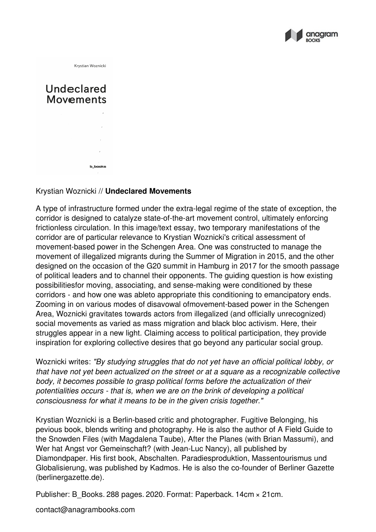

Krystian Woznicki

## Undeclared **Movements** b\_books

## Krystian Woznicki // **Undeclared Movements**

A type of infrastructure formed under the extra-legal regime of the state of exception, the corridor is designed to catalyze state-of-the-art movement control, ultimately enforcing frictionless circulation. In this image/text essay, two temporary manifestations of the corridor are of particular relevance to Krystian Woznicki's critical assessment of movement-based power in the Schengen Area. One was constructed to manage the movement of illegalized migrants during the Summer of Migration in 2015, and the other designed on the occasion of the G20 summit in Hamburg in 2017 for the smooth passage of political leaders and to channel their opponents. The guiding question is how existing possibilitiesfor moving, associating, and sense-making were conditioned by these corridors - and how one was ableto appropriate this conditioning to emancipatory ends. Zooming in on various modes of disavowal ofmovement-based power in the Schengen Area, Woznicki gravitates towards actors from illegalized (and officially unrecognized) social movements as varied as mass migration and black bloc activism. Here, their struggles appear in a new light. Claiming access to political participation, they provide inspiration for exploring collective desires that go beyond any particular social group.

Woznicki writes: *"By studying struggles that do not yet have an official political lobby, or that have not yet been actualized on the street or at a square as a recognizable collective body, it becomes possible to grasp political forms before the actualization oftheir potentialities occurs - that is, when we are on the brink of developing a political consciousness for what it means to be in the given crisis together."*

Krystian Woznicki is a Berlin-based critic and photographer. Fugitive Belonging, his pevious book, blends writing and photography. He is also the author of A Field Guide to the Snowden Files (with Magdalena Taube), After the Planes (with Brian Massumi), and Wer hat Angst vor Gemeinschaft? (with Jean-Luc Nancy), all published by Diamondpaper. His first book, Abschalten. Paradiesproduktion, Massentourismus und Globalisierung, was published by Kadmos. He is also the co-founder of Berliner Gazette (berlinergazette.de).

Publisher: B\_Books. 288 pages. 2020. Format: Paperback. 14cm × 21cm.

contact@anagrambooks.com